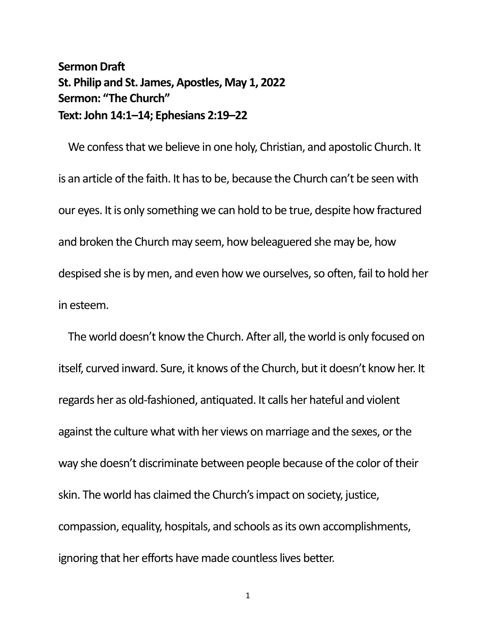## **Sermon Draft St. Philip and St. James, Apostles, May 1, 2022 Sermon: "The Church" Text: John 14:1–14; Ephesians 2:19–22**

We confess that we believe in one holy, Christian, and apostolic Church. It is an article of the faith. It has to be, because the Church can't be seen with our eyes. It is only something we can hold to be true, despite how fractured and broken the Church may seem, how beleaguered she may be, how despised she is by men, and even how we ourselves, so often, fail to hold her in esteem.

The world doesn't know the Church. After all, the world is only focused on itself, curved inward. Sure, it knows of the Church, but it doesn't know her. It regards her as old-fashioned, antiquated. It calls her hateful and violent against the culture what with her views on marriage and the sexes, or the way she doesn't discriminate between people because of the color of their skin. The world has claimed the Church's impact on society, justice, compassion, equality, hospitals, and schools as its own accomplishments, ignoring that her efforts have made countless lives better.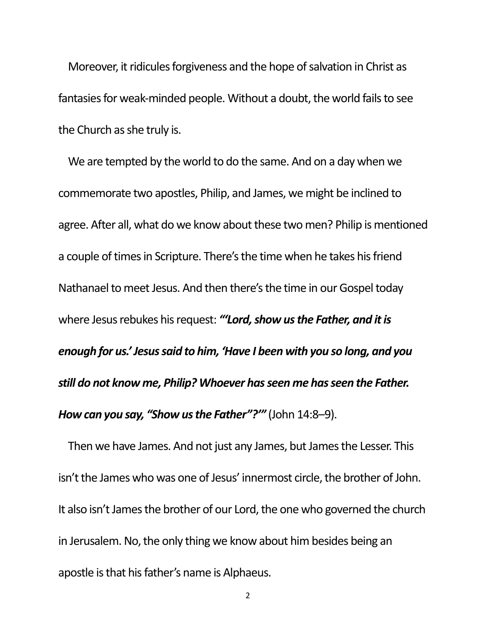Moreover, it ridicules forgiveness and the hope of salvation in Christ as fantasies for weak-minded people. Without a doubt, the world fails to see the Church as she truly is.

We are tempted by the world to do the same. And on a day when we commemorate two apostles, Philip, and James, we might be inclined to agree. After all, what do we know about these two men? Philip is mentioned a couple of times in Scripture. There's the time when he takes his friend Nathanael to meet Jesus. And then there's the time in our Gospel today where Jesus rebukes his request: *"'Lord, show us the Father, and it is enough for us.' Jesus said to him, 'Have I been with you so long, and you still do not know me, Philip? Whoever has seen me has seen the Father. How can you say, "Show us the Father"?'"* (John 14:8–9).

Then we have James. And not just any James, but James the Lesser. This isn't the James who was one of Jesus' innermost circle, the brother of John. It also isn't James the brother of our Lord, the one who governed the church in Jerusalem. No, the only thing we know about him besides being an apostle is that his father's name is Alphaeus.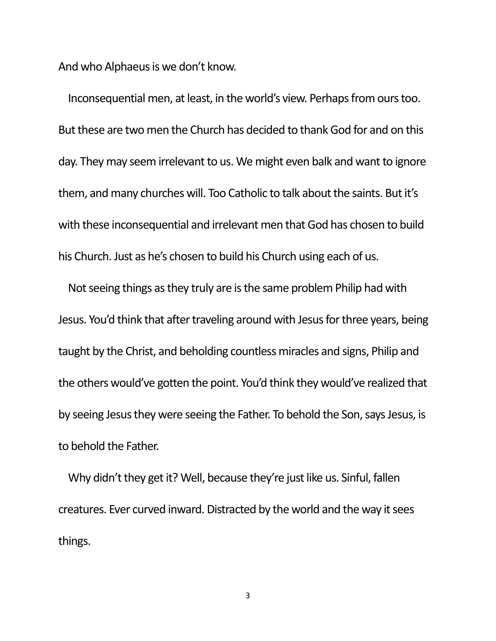And who Alphaeus is we don't know.

Inconsequential men, at least, in the world's view. Perhaps from ours too. But these are two men the Church has decided to thank God for and on this day. They may seem irrelevant to us. We might even balk and want to ignore them, and many churches will. Too Catholic to talk about the saints. But it's with these inconsequential and irrelevant men that God has chosen to build his Church. Just as he's chosen to build his Church using each of us.

Not seeing things as they truly are is the same problem Philip had with Jesus. You'd think that after traveling around with Jesus for three years, being taught by the Christ, and beholding countless miracles and signs, Philip and the others would've gotten the point. You'd think they would've realized that by seeing Jesus they were seeing the Father. To behold the Son, says Jesus, is to behold the Father.

Why didn't they get it? Well, because they're just like us. Sinful, fallen creatures. Ever curved inward. Distracted by the world and the way it sees things.

3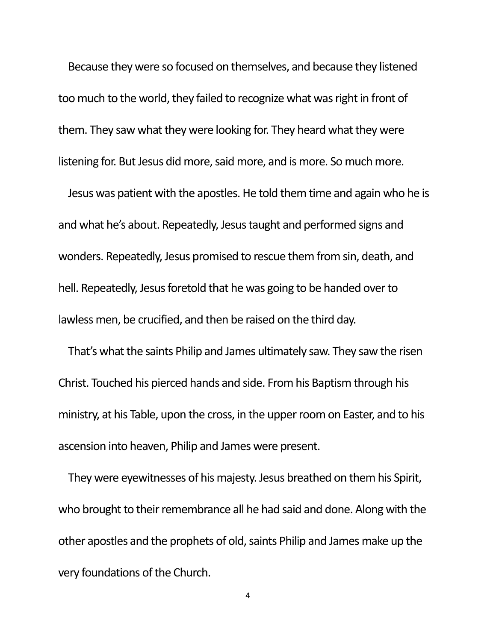Because they were so focused on themselves, and because they listened too much to the world, they failed to recognize what was right in front of them. They saw what they were looking for. They heard what they were listening for. But Jesus did more, said more, and is more. So much more.

Jesus was patient with the apostles. He told them time and again who he is and what he's about. Repeatedly, Jesus taught and performed signs and wonders. Repeatedly, Jesus promised to rescue them from sin, death, and hell. Repeatedly, Jesus foretold that he was going to be handed over to lawless men, be crucified, and then be raised on the third day.

That's what the saints Philip and James ultimately saw. They saw the risen Christ. Touched his pierced hands and side. From his Baptism through his ministry, at his Table, upon the cross, in the upper room on Easter, and to his ascension into heaven, Philip and James were present.

They were eyewitnesses of his majesty. Jesus breathed on them his Spirit, who brought to their remembrance all he had said and done. Along with the other apostles and the prophets of old, saints Philip and James make up the very foundations of the Church.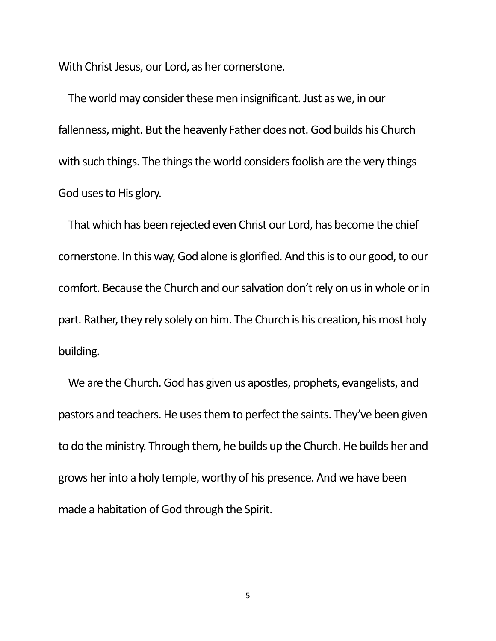With Christ Jesus, our Lord, as her cornerstone.

The world may consider these men insignificant. Just as we, in our fallenness, might. But the heavenly Father does not. God builds his Church with such things. The things the world considers foolish are the very things God uses to His glory.

That which has been rejected even Christ our Lord, has become the chief cornerstone. In this way, God alone is glorified. And this is to our good, to our comfort. Because the Church and our salvation don't rely on us in whole or in part. Rather, they rely solely on him. The Church is his creation, his most holy building.

We are the Church. God has given us apostles, prophets, evangelists, and pastors and teachers. He uses them to perfect the saints. They've been given to do the ministry. Through them, he builds up the Church. He builds her and grows her into a holy temple, worthy of his presence. And we have been made a habitation of God through the Spirit.

5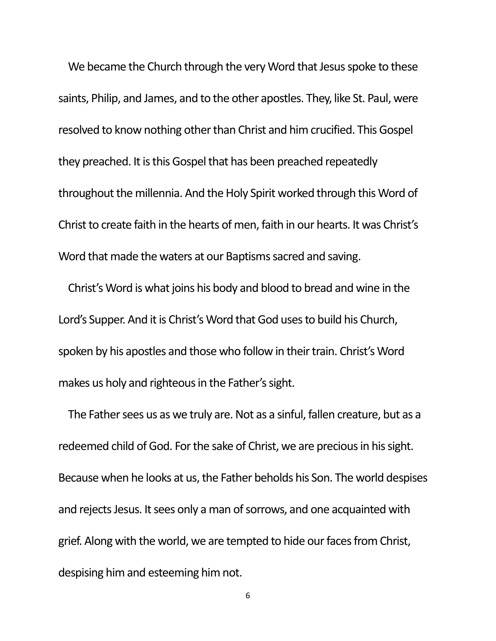We became the Church through the very Word that Jesus spoke to these saints, Philip, and James, and to the other apostles. They, like St. Paul, were resolved to know nothing other than Christ and him crucified. This Gospel they preached. It is this Gospel that has been preached repeatedly throughout the millennia. And the Holy Spirit worked through this Word of Christ to create faith in the hearts of men, faith in our hearts. It was Christ's Word that made the waters at our Baptisms sacred and saving.

Christ's Word is what joins his body and blood to bread and wine in the Lord's Supper. And it is Christ's Word that God uses to build his Church, spoken by his apostles and those who follow in their train. Christ's Word makes us holy and righteous in the Father's sight.

The Father sees us as we truly are. Not as a sinful, fallen creature, but as a redeemed child of God. For the sake of Christ, we are precious in his sight. Because when he looks at us, the Father beholds his Son. The world despises and rejects Jesus. It sees only a man of sorrows, and one acquainted with grief. Along with the world, we are tempted to hide our faces from Christ, despising him and esteeming him not.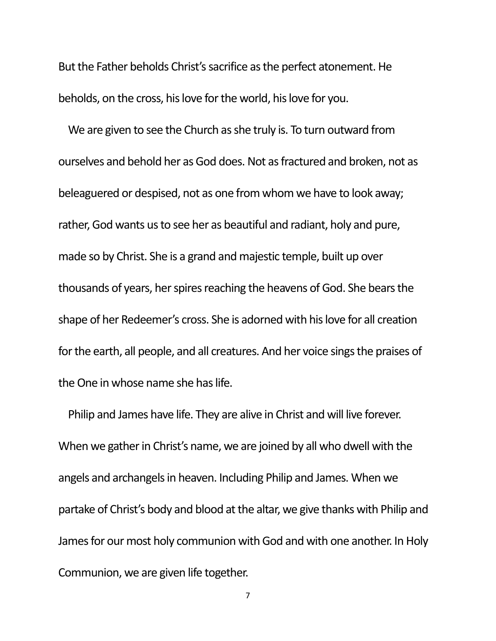But the Father beholds Christ's sacrifice as the perfect atonement. He beholds, on the cross, his love for the world, his love for you.

We are given to see the Church as she truly is. To turn outward from ourselves and behold her as God does. Not as fractured and broken, not as beleaguered or despised, not as one from whom we have to look away; rather, God wants us to see her as beautiful and radiant, holy and pure, made so by Christ. She is a grand and majestic temple, built up over thousands of years, her spires reaching the heavens of God. She bears the shape of her Redeemer's cross. She is adorned with his love for all creation for the earth, all people, and all creatures. And her voice sings the praises of the One in whose name she has life.

Philip and James have life. They are alive in Christ and will live forever. When we gather in Christ's name, we are joined by all who dwell with the angels and archangels in heaven. Including Philip and James. When we partake of Christ's body and blood at the altar, we give thanks with Philip and James for our most holy communion with God and with one another. In Holy Communion, we are given life together.